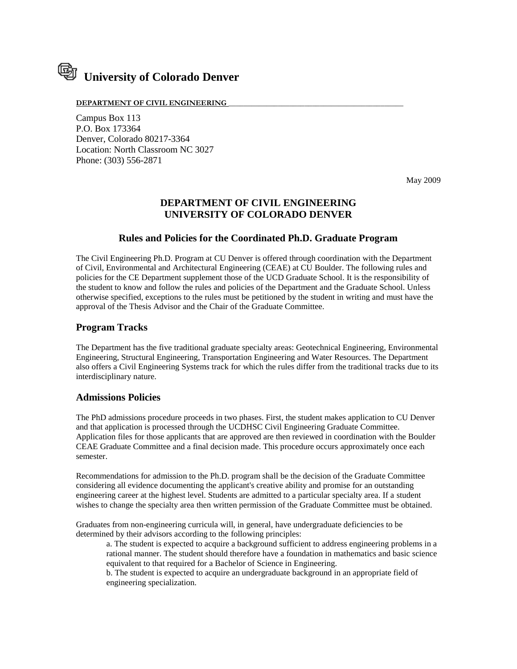# **University of Colorado Denver**

#### DEPARTMENT OF CIVIL ENGINEERING

Campus Box 113 P.O. Box 173364 Denver, Colorado 80217-3364 Location: North Classroom NC 3027 Phone: (303) 556-2871

May 2009

# **DEPARTMENT OF CIVIL ENGINEERING UNIVERSITY OF COLORADO DENVER**

## **Rules and Policies for the Coordinated Ph.D. Graduate Program**

The Civil Engineering Ph.D. Program at CU Denver is offered through coordination with the Department of Civil, Environmental and Architectural Engineering (CEAE) at CU Boulder. The following rules and policies for the CE Department supplement those of the UCD Graduate School. It is the responsibility of the student to know and follow the rules and policies of the Department and the Graduate School. Unless otherwise specified, exceptions to the rules must be petitioned by the student in writing and must have the approval of the Thesis Advisor and the Chair of the Graduate Committee.

## **Program Tracks**

The Department has the five traditional graduate specialty areas: Geotechnical Engineering, Environmental Engineering, Structural Engineering, Transportation Engineering and Water Resources. The Department also offers a Civil Engineering Systems track for which the rules differ from the traditional tracks due to its interdisciplinary nature.

## **Admissions Policies**

The PhD admissions procedure proceeds in two phases. First, the student makes application to CU Denver and that application is processed through the UCDHSC Civil Engineering Graduate Committee. Application files for those applicants that are approved are then reviewed in coordination with the Boulder CEAE Graduate Committee and a final decision made. This procedure occurs approximately once each semester.

Recommendations for admission to the Ph.D. program shall be the decision of the Graduate Committee considering all evidence documenting the applicant's creative ability and promise for an outstanding engineering career at the highest level. Students are admitted to a particular specialty area. If a student wishes to change the specialty area then written permission of the Graduate Committee must be obtained.

Graduates from non-engineering curricula will, in general, have undergraduate deficiencies to be determined by their advisors according to the following principles:

a. The student is expected to acquire a background sufficient to address engineering problems in a rational manner. The student should therefore have a foundation in mathematics and basic science equivalent to that required for a Bachelor of Science in Engineering.

b. The student is expected to acquire an undergraduate background in an appropriate field of engineering specialization.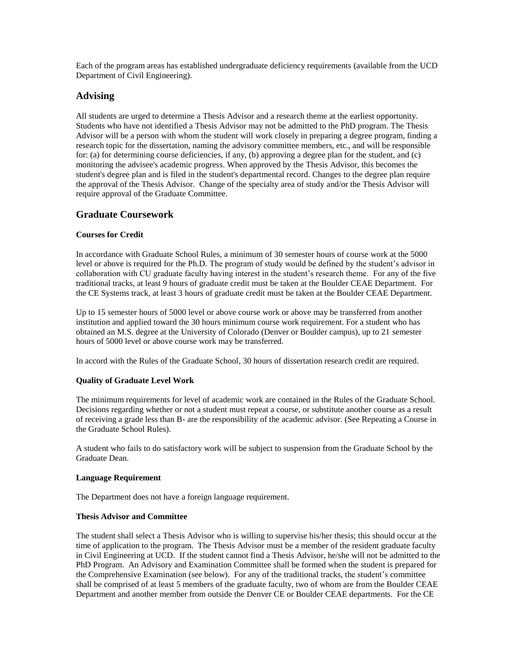Each of the program areas has established undergraduate deficiency requirements (available from the UCD Department of Civil Engineering).

## **Advising**

All students are urged to determine a Thesis Advisor and a research theme at the earliest opportunity. Students who have not identified a Thesis Advisor may not be admitted to the PhD program. The Thesis Advisor will be a person with whom the student will work closely in preparing a degree program, finding a research topic for the dissertation, naming the advisory committee members, etc., and will be responsible for: (a) for determining course deficiencies, if any, (b) approving a degree plan for the student, and (c) monitoring the advisee's academic progress. When approved by the Thesis Advisor, this becomes the student's degree plan and is filed in the student's departmental record. Changes to the degree plan require the approval of the Thesis Advisor. Change of the specialty area of study and/or the Thesis Advisor will require approval of the Graduate Committee.

# **Graduate Coursework**

## **Courses for Credit**

In accordance with Graduate School Rules, a minimum of 30 semester hours of course work at the 5000 level or above is required for the Ph.D. The program of study would be defined by the student's advisor in collaboration with CU graduate faculty having interest in the student's research theme. For any of the five traditional tracks, at least 9 hours of graduate credit must be taken at the Boulder CEAE Department. For the CE Systems track, at least 3 hours of graduate credit must be taken at the Boulder CEAE Department.

Up to 15 semester hours of 5000 level or above course work or above may be transferred from another institution and applied toward the 30 hours minimum course work requirement. For a student who has obtained an M.S. degree at the University of Colorado (Denver or Boulder campus), up to 21 semester hours of 5000 level or above course work may be transferred.

In accord with the Rules of the Graduate School, 30 hours of dissertation research credit are required.

## **Quality of Graduate Level Work**

The minimum requirements for level of academic work are contained in the Rules of the Graduate School. Decisions regarding whether or not a student must repeat a course, or substitute another course as a result of receiving a grade less than B- are the responsibility of the academic advisor. (See Repeating a Course in the Graduate School Rules).

A student who fails to do satisfactory work will be subject to suspension from the Graduate School by the Graduate Dean.

## **Language Requirement**

The Department does not have a foreign language requirement.

## **Thesis Advisor and Committee**

The student shall select a Thesis Advisor who is willing to supervise his/her thesis; this should occur at the time of application to the program. The Thesis Advisor must be a member of the resident graduate faculty in Civil Engineering at UCD. If the student cannot find a Thesis Advisor, he/she will not be admitted to the PhD Program. An Advisory and Examination Committee shall be formed when the student is prepared for the Comprehensive Examination (see below). For any of the traditional tracks, the student's committee shall be comprised of at least 5 members of the graduate faculty, two of whom are from the Boulder CEAE Department and another member from outside the Denver CE or Boulder CEAE departments. For the CE